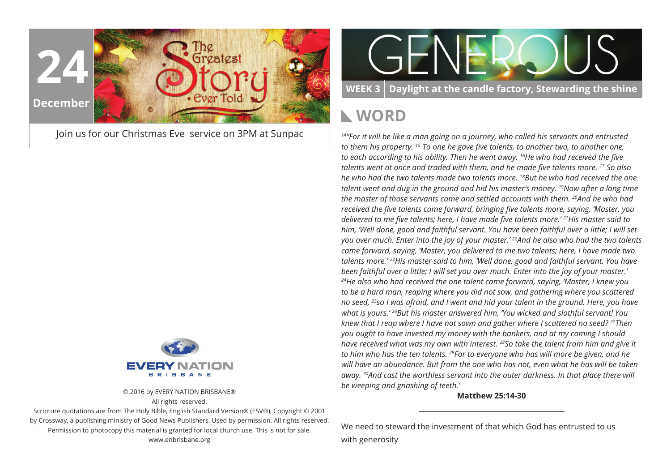

Join us for our Christmas Eve service on 3PM at Sunpac



© 2016 by EVERY NATION BRISBANE® All rights reserved.

Scripture quotations are from The Holy Bible, English Standard Version® (ESV®), Copyright © 2001 by Crossway, a publishing ministry of Good News Publishers. Used by permission. All rights reserved. Permission to photocopy this material is granted for local church use. This is not for sale. www.enbrisbane.org



**WEEK 3 Daylight at the candle factory, Stewarding the shine**

### **WORD**

*14"For it will be like a man going on a journey, who called his servants and entrusted to them his property. 15 To one he gave five talents, to another two, to another one, to each according to his ability. Then he went away. 16He who had received the five talents went at once and traded with them, and he made five talents more. 17 So also he who had the two talents made two talents more. 18But he who had received the one talent went and dug in the ground and hid his master's money. 19Now after a long time the master of those servants came and settled accounts with them. 20And he who had received the five talents came forward, bringing five talents more, saying, 'Master, you delivered to me five talents; here, I have made five talents more.' 21His master said to him, 'Well done, good and faithful servant. You have been faithful over a little; I will set you over much. Enter into the joy of your master.' 22And he also who had the two talents came forward, saying, 'Master, you delivered to me two talents; here, I have made two talents more.' 23His master said to him, 'Well done, good and faithful servant. You have been faithful over a little; I will set you over much. Enter into the joy of your master.' <sup>24</sup>He also who had received the one talent came forward, saying, 'Master, I knew you to be a hard man, reaping where you did not sow, and gathering where you scattered no seed, 25so I was afraid, and I went and hid your talent in the ground. Here, you have what is yours.' 26But his master answered him, 'You wicked and slothful servant! You knew that I reap where I have not sown and gather where I scattered no seed? 27Then you ought to have invested my money with the bankers, and at my coming I should have received what was my own with interest. 28So take the talent from him and give it to him who has the ten talents. 29For to everyone who has will more be given, and he will have an abundance. But from the one who has not, even what he has will be taken away. 30And cast the worthless servant into the outer darkness. In that place there will be weeping and gnashing of teeth.'*

**Matthew 25:14-30**

We need to steward the investment of that which God has entrusted to us with generosity